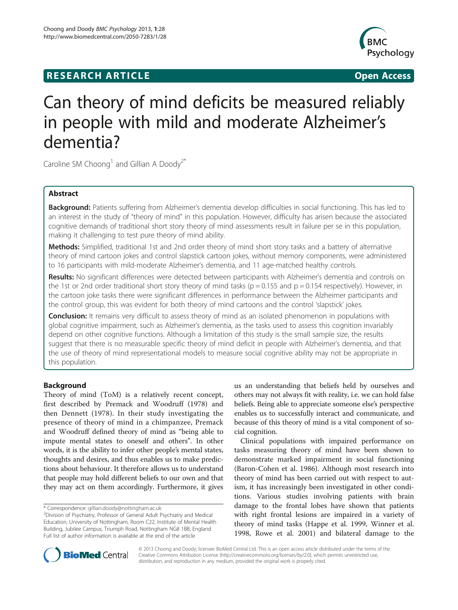# **RESEARCH ARTICLE Example 2014 12:30 The SEAR CHA RTICLE**



# Can theory of mind deficits be measured reliably in people with mild and moderate Alzheimer's dementia?

Caroline SM Choong<sup>1</sup> and Gillian A Doody<sup>2\*</sup>

# Abstract

Background: Patients suffering from Alzheimer's dementia develop difficulties in social functioning. This has led to an interest in the study of "theory of mind" in this population. However, difficulty has arisen because the associated cognitive demands of traditional short story theory of mind assessments result in failure per se in this population, making it challenging to test pure theory of mind ability.

Methods: Simplified, traditional 1st and 2nd order theory of mind short story tasks and a battery of alternative theory of mind cartoon jokes and control slapstick cartoon jokes, without memory components, were administered to 16 participants with mild-moderate Alzheimer's dementia, and 11 age-matched healthy controls.

Results: No significant differences were detected between participants with Alzheimer's dementia and controls on the 1st or 2nd order traditional short story theory of mind tasks ( $p = 0.155$  and  $p = 0.154$  respectively). However, in the cartoon joke tasks there were significant differences in performance between the Alzheimer participants and the control group, this was evident for both theory of mind cartoons and the control 'slapstick' jokes.

**Conclusion:** It remains very difficult to assess theory of mind as an isolated phenomenon in populations with global cognitive impairment, such as Alzheimer's dementia, as the tasks used to assess this cognition invariably depend on other cognitive functions. Although a limitation of this study is the small sample size, the results suggest that there is no measurable specific theory of mind deficit in people with Alzheimer's dementia, and that the use of theory of mind representational models to measure social cognitive ability may not be appropriate in this population.

# Background

Theory of mind (ToM) is a relatively recent concept, first described by Premack and Woodruff [\(1978\)](#page-8-0) and then Dennett [\(1978\)](#page-8-0). In their study investigating the presence of theory of mind in a chimpanzee, Premack and Woodruff defined theory of mind as "being able to impute mental states to oneself and others". In other words, it is the ability to infer other people's mental states, thoughts and desires, and thus enables us to make predictions about behaviour. It therefore allows us to understand that people may hold different beliefs to our own and that they may act on them accordingly. Furthermore, it gives

\* Correspondence: [gillian.doody@nottingham.ac.uk](mailto:gillian.doody@nottingham.ac.uk) <sup>2</sup>

us an understanding that beliefs held by ourselves and others may not always fit with reality, i.e. we can hold false beliefs. Being able to appreciate someone else's perspective enables us to successfully interact and communicate, and because of this theory of mind is a vital component of social cognition.

Clinical populations with impaired performance on tasks measuring theory of mind have been shown to demonstrate marked impairment in social functioning (Baron-Cohen et al. [1986\)](#page-7-0). Although most research into theory of mind has been carried out with respect to autism, it has increasingly been investigated in other conditions. Various studies involving patients with brain damage to the frontal lobes have shown that patients with right frontal lesions are impaired in a variety of theory of mind tasks (Happe et al. [1999,](#page-8-0) Winner et al. [1998](#page-8-0), Rowe et al. [2001](#page-8-0)) and bilateral damage to the



© 2013 Choong and Doody; licensee BioMed Central Ltd. This is an open access article distributed under the terms of the Creative Commons Attribution License (<http://creativecommons.org/licenses/by/2.0>), which permits unrestricted use, distribution, and reproduction in any medium, provided the original work is properly cited.

Division of Psychiatry, Professor of General Adult Psychiatry and Medical Education, University of Nottingham, Room C22, Institute of Mental Health Building, Jubilee Campus, Triumph Road, Nottingham NG8 1BB, England Full list of author information is available at the end of the article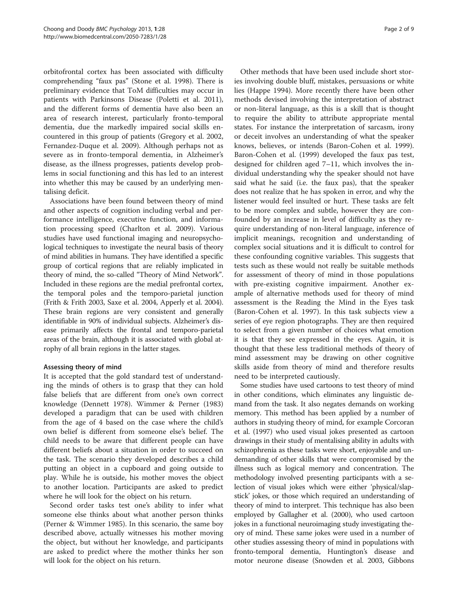orbitofrontal cortex has been associated with difficulty comprehending "faux pas" (Stone et al. [1998](#page-8-0)). There is preliminary evidence that ToM difficulties may occur in patients with Parkinsons Disease (Poletti et al. [2011](#page-8-0)), and the different forms of dementia have also been an area of research interest, particularly fronto-temporal dementia, due the markedly impaired social skills encountered in this group of patients (Gregory et al. [2002](#page-8-0), Fernandez-Duque et al. [2009\)](#page-8-0). Although perhaps not as severe as in fronto-temporal dementia, in Alzheimer's disease, as the illness progresses, patients develop problems in social functioning and this has led to an interest into whether this may be caused by an underlying mentalising deficit.

Associations have been found between theory of mind and other aspects of cognition including verbal and performance intelligence, executive function, and information processing speed (Charlton et al. [2009\)](#page-7-0). Various studies have used functional imaging and neuropsychological techniques to investigate the neural basis of theory of mind abilities in humans. They have identified a specific group of cortical regions that are reliably implicated in theory of mind, the so-called "Theory of Mind Network". Included in these regions are the medial prefrontal cortex, the temporal poles and the temporo-parietal junction (Frith & Frith [2003](#page-8-0), Saxe et al. [2004](#page-8-0), Apperly et al. [2004](#page-7-0)). These brain regions are very consistent and generally identifiable in 90% of individual subjects. Alzheimer's disease primarily affects the frontal and temporo-parietal areas of the brain, although it is associated with global atrophy of all brain regions in the latter stages.

# Assessing theory of mind

It is accepted that the gold standard test of understanding the minds of others is to grasp that they can hold false beliefs that are different from one's own correct knowledge (Dennett [1978\)](#page-8-0). Wimmer & Perner ([1983](#page-8-0)) developed a paradigm that can be used with children from the age of 4 based on the case where the child's own belief is different from someone else's belief. The child needs to be aware that different people can have different beliefs about a situation in order to succeed on the task. The scenario they developed describes a child putting an object in a cupboard and going outside to play. While he is outside, his mother moves the object to another location. Participants are asked to predict where he will look for the object on his return.

Second order tasks test one's ability to infer what someone else thinks about what another person thinks (Perner & Wimmer [1985\)](#page-8-0). In this scenario, the same boy described above, actually witnesses his mother moving the object, but without her knowledge, and participants are asked to predict where the mother thinks her son will look for the object on his return.

Other methods that have been used include short stories involving double bluff, mistakes, persuasions or white lies (Happe [1994](#page-8-0)). More recently there have been other methods devised involving the interpretation of abstract or non-literal language, as this is a skill that is thought to require the ability to attribute appropriate mental states. For instance the interpretation of sarcasm, irony or deceit involves an understanding of what the speaker knows, believes, or intends (Baron-Cohen et al. [1999](#page-7-0)). Baron-Cohen et al. ([1999](#page-7-0)) developed the faux pas test, designed for children aged 7–11, which involves the individual understanding why the speaker should not have said what he said (i.e. the faux pas), that the speaker does not realize that he has spoken in error, and why the listener would feel insulted or hurt. These tasks are felt to be more complex and subtle, however they are confounded by an increase in level of difficulty as they require understanding of non-literal language, inference of implicit meanings, recognition and understanding of complex social situations and it is difficult to control for these confounding cognitive variables. This suggests that tests such as these would not really be suitable methods for assessment of theory of mind in those populations with pre-existing cognitive impairment. Another example of alternative methods used for theory of mind assessment is the Reading the Mind in the Eyes task (Baron-Cohen et al. [1997](#page-7-0)). In this task subjects view a series of eye region photographs. They are then required to select from a given number of choices what emotion it is that they see expressed in the eyes. Again, it is thought that these less traditional methods of theory of mind assessment may be drawing on other cognitive skills aside from theory of mind and therefore results need to be interpreted cautiously.

Some studies have used cartoons to test theory of mind in other conditions, which eliminates any linguistic demand from the task. It also negates demands on working memory. This method has been applied by a number of authors in studying theory of mind, for example Corcoran et al. [\(1997](#page-8-0)) who used visual jokes presented as cartoon drawings in their study of mentalising ability in adults with schizophrenia as these tasks were short, enjoyable and undemanding of other skills that were compromised by the illness such as logical memory and concentration. The methodology involved presenting participants with a selection of visual jokes which were either 'physical/slapstick' jokes, or those which required an understanding of theory of mind to interpret. This technique has also been employed by Gallagher et al. [\(2000](#page-8-0)), who used cartoon jokes in a functional neuroimaging study investigating theory of mind. These same jokes were used in a number of other studies assessing theory of mind in populations with fronto-temporal dementia, Huntington's disease and motor neurone disease (Snowden et al. [2003](#page-8-0), Gibbons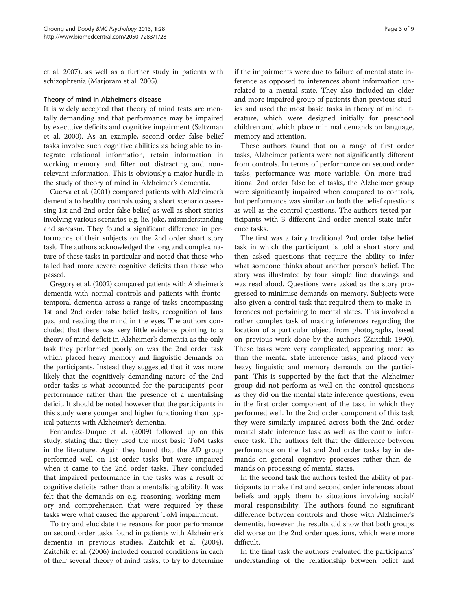et al. [2007](#page-8-0)), as well as a further study in patients with schizophrenia (Marjoram et al. [2005](#page-8-0)).

### Theory of mind in Alzheimer's disease

It is widely accepted that theory of mind tests are mentally demanding and that performance may be impaired by executive deficits and cognitive impairment (Saltzman et al. [2000\)](#page-8-0). As an example, second order false belief tasks involve such cognitive abilities as being able to integrate relational information, retain information in working memory and filter out distracting and nonrelevant information. This is obviously a major hurdle in the study of theory of mind in Alzheimer's dementia.

Cuerva et al. [\(2001](#page-8-0)) compared patients with Alzheimer's dementia to healthy controls using a short scenario assessing 1st and 2nd order false belief, as well as short stories involving various scenarios e.g. lie, joke, misunderstanding and sarcasm. They found a significant difference in performance of their subjects on the 2nd order short story task. The authors acknowledged the long and complex nature of these tasks in particular and noted that those who failed had more severe cognitive deficits than those who passed.

Gregory et al. ([2002\)](#page-8-0) compared patients with Alzheimer's dementia with normal controls and patients with frontotemporal dementia across a range of tasks encompassing 1st and 2nd order false belief tasks, recognition of faux pas, and reading the mind in the eyes. The authors concluded that there was very little evidence pointing to a theory of mind deficit in Alzheimer's dementia as the only task they performed poorly on was the 2nd order task which placed heavy memory and linguistic demands on the participants. Instead they suggested that it was more likely that the cognitively demanding nature of the 2nd order tasks is what accounted for the participants' poor performance rather than the presence of a mentalising deficit. It should be noted however that the participants in this study were younger and higher functioning than typical patients with Alzheimer's dementia.

Fernandez-Duque et al. ([2009](#page-8-0)) followed up on this study, stating that they used the most basic ToM tasks in the literature. Again they found that the AD group performed well on 1st order tasks but were impaired when it came to the 2nd order tasks. They concluded that impaired performance in the tasks was a result of cognitive deficits rather than a mentalising ability. It was felt that the demands on e.g. reasoning, working memory and comprehension that were required by these tasks were what caused the apparent ToM impairment.

To try and elucidate the reasons for poor performance on second order tasks found in patients with Alzheimer's dementia in previous studies, Zaitchik et al. ([2004](#page-8-0)), Zaitchik et al. [\(2006\)](#page-8-0) included control conditions in each of their several theory of mind tasks, to try to determine

if the impairments were due to failure of mental state inference as opposed to inferences about information unrelated to a mental state. They also included an older and more impaired group of patients than previous studies and used the most basic tasks in theory of mind literature, which were designed initially for preschool children and which place minimal demands on language, memory and attention.

These authors found that on a range of first order tasks, Alzheimer patients were not significantly different from controls. In terms of performance on second order tasks, performance was more variable. On more traditional 2nd order false belief tasks, the Alzheimer group were significantly impaired when compared to controls, but performance was similar on both the belief questions as well as the control questions. The authors tested participants with 3 different 2nd order mental state inference tasks.

The first was a fairly traditional 2nd order false belief task in which the participant is told a short story and then asked questions that require the ability to infer what someone thinks about another person's belief. The story was illustrated by four simple line drawings and was read aloud. Questions were asked as the story progressed to minimise demands on memory. Subjects were also given a control task that required them to make inferences not pertaining to mental states. This involved a rather complex task of making inferences regarding the location of a particular object from photographs, based on previous work done by the authors (Zaitchik [1990](#page-8-0)). These tasks were very complicated, appearing more so than the mental state inference tasks, and placed very heavy linguistic and memory demands on the participant. This is supported by the fact that the Alzheimer group did not perform as well on the control questions as they did on the mental state inference questions, even in the first order component of the task, in which they performed well. In the 2nd order component of this task they were similarly impaired across both the 2nd order mental state inference task as well as the control inference task. The authors felt that the difference between performance on the 1st and 2nd order tasks lay in demands on general cognitive processes rather than demands on processing of mental states.

In the second task the authors tested the ability of participants to make first and second order inferences about beliefs and apply them to situations involving social/ moral responsibility. The authors found no significant difference between controls and those with Alzheimer's dementia, however the results did show that both groups did worse on the 2nd order questions, which were more difficult.

In the final task the authors evaluated the participants' understanding of the relationship between belief and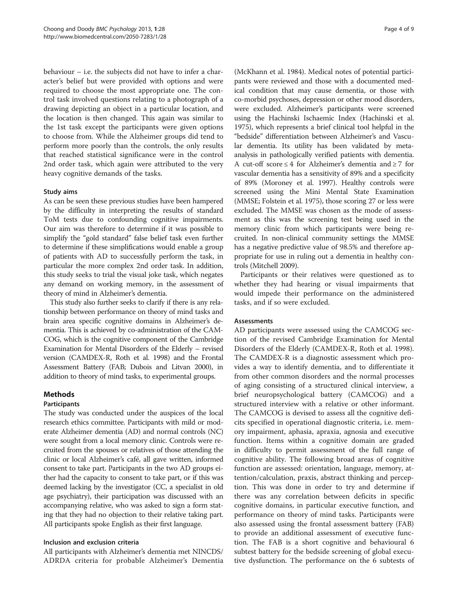behaviour – i.e. the subjects did not have to infer a character's belief but were provided with options and were required to choose the most appropriate one. The control task involved questions relating to a photograph of a drawing depicting an object in a particular location, and the location is then changed. This again was similar to the 1st task except the participants were given options to choose from. While the Alzheimer groups did tend to perform more poorly than the controls, the only results that reached statistical significance were in the control 2nd order task, which again were attributed to the very heavy cognitive demands of the tasks.

## Study aims

As can be seen these previous studies have been hampered by the difficulty in interpreting the results of standard ToM tests due to confounding cognitive impairments. Our aim was therefore to determine if it was possible to simplify the "gold standard" false belief task even further to determine if these simplifications would enable a group of patients with AD to successfully perform the task, in particular the more complex 2nd order task. In addition, this study seeks to trial the visual joke task, which negates any demand on working memory, in the assessment of theory of mind in Alzheimer's dementia.

This study also further seeks to clarify if there is any relationship between performance on theory of mind tasks and brain area specific cognitive domains in Alzheimer's dementia. This is achieved by co-administration of the CAM-COG, which is the cognitive component of the Cambridge Examination for Mental Disorders of the Elderly – revised version (CAMDEX-R, Roth et al. [1998](#page-8-0)) and the Frontal Assessment Battery (FAB; Dubois and Litvan [2000](#page-8-0)), in addition to theory of mind tasks, to experimental groups.

# Methods

# Participants

The study was conducted under the auspices of the local research ethics committee. Participants with mild or moderate Alzheimer dementia (AD) and normal controls (NC) were sought from a local memory clinic. Controls were recruited from the spouses or relatives of those attending the clinic or local Alzheimer's café, all gave written, informed consent to take part. Participants in the two AD groups either had the capacity to consent to take part, or if this was deemed lacking by the investigator (CC, a specialist in old age psychiatry), their participation was discussed with an accompanying relative, who was asked to sign a form stating that they had no objection to their relative taking part. All participants spoke English as their first language.

# Inclusion and exclusion criteria

All participants with Alzheimer's dementia met NINCDS/ ADRDA criteria for probable Alzheimer's Dementia

(McKhann et al. [1984\)](#page-8-0). Medical notes of potential participants were reviewed and those with a documented medical condition that may cause dementia, or those with co-morbid psychoses, depression or other mood disorders, were excluded. Alzheimer's participants were screened using the Hachinski Ischaemic Index (Hachinski et al. [1975\)](#page-8-0), which represents a brief clinical tool helpful in the "bedside" differentiation between Alzheimer's and Vascular dementia. Its utility has been validated by metaanalysis in pathologically verified patients with dementia. A cut-off score ≤ 4 for Alzheimer's dementia and ≥ 7 for vascular dementia has a sensitivity of 89% and a specificity of 89% (Moroney et al. [1997](#page-8-0)). Healthy controls were screened using the Mini Mental State Examination (MMSE; Folstein et al. [1975\)](#page-8-0), those scoring 27 or less were excluded. The MMSE was chosen as the mode of assessment as this was the screening test being used in the memory clinic from which participants were being recruited. In non-clinical community settings the MMSE has a negative predictive value of 98.5% and therefore appropriate for use in ruling out a dementia in healthy controls (Mitchell [2009\)](#page-8-0).

Participants or their relatives were questioned as to whether they had hearing or visual impairments that would impede their performance on the administered tasks, and if so were excluded.

### Assessments

AD participants were assessed using the CAMCOG section of the revised Cambridge Examination for Mental Disorders of the Elderly (CAMDEX-R, Roth et al. [1998](#page-8-0)). The CAMDEX-R is a diagnostic assessment which provides a way to identify dementia, and to differentiate it from other common disorders and the normal processes of aging consisting of a structured clinical interview, a brief neuropsychological battery (CAMCOG) and a structured interview with a relative or other informant. The CAMCOG is devised to assess all the cognitive deficits specified in operational diagnostic criteria, i.e. memory impairment, aphasia, apraxia, agnosia and executive function. Items within a cognitive domain are graded in difficulty to permit assessment of the full range of cognitive ability. The following broad areas of cognitive function are assessed: orientation, language, memory, attention/calculation, praxis, abstract thinking and perception. This was done in order to try and determine if there was any correlation between deficits in specific cognitive domains, in particular executive function, and performance on theory of mind tasks. Participants were also assessed using the frontal assessment battery (FAB) to provide an additional assessment of executive function. The FAB is a short cognitive and behavioural 6 subtest battery for the bedside screening of global executive dysfunction. The performance on the 6 subtests of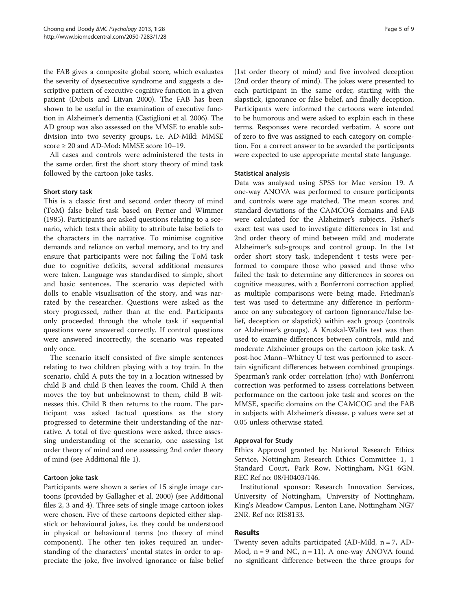the FAB gives a composite global score, which evaluates the severity of dysexecutive syndrome and suggests a descriptive pattern of executive cognitive function in a given patient (Dubois and Litvan [2000](#page-8-0)). The FAB has been shown to be useful in the examination of executive function in Alzheimer's dementia (Castiglioni et al. [2006](#page-7-0)). The AD group was also assessed on the MMSE to enable subdivision into two severity groups, i.e. AD-Mild: MMSE score ≥ 20 and AD-Mod: MMSE score 10–19.

All cases and controls were administered the tests in the same order, first the short story theory of mind task followed by the cartoon joke tasks.

## Short story task

This is a classic first and second order theory of mind (ToM) false belief task based on Perner and Wimmer ([1985](#page-8-0)). Participants are asked questions relating to a scenario, which tests their ability to attribute false beliefs to the characters in the narrative. To minimise cognitive demands and reliance on verbal memory, and to try and ensure that participants were not failing the ToM task due to cognitive deficits, several additional measures were taken. Language was standardised to simple, short and basic sentences. The scenario was depicted with dolls to enable visualisation of the story, and was narrated by the researcher. Questions were asked as the story progressed, rather than at the end. Participants only proceeded through the whole task if sequential questions were answered correctly. If control questions were answered incorrectly, the scenario was repeated only once.

The scenario itself consisted of five simple sentences relating to two children playing with a toy train. In the scenario, child A puts the toy in a location witnessed by child B and child B then leaves the room. Child A then moves the toy but unbeknownst to them, child B witnesses this. Child B then returns to the room. The participant was asked factual questions as the story progressed to determine their understanding of the narrative. A total of five questions were asked, three assessing understanding of the scenario, one assessing 1st order theory of mind and one assessing 2nd order theory of mind (see Additional file [1\)](#page-7-0).

# Cartoon joke task

Participants were shown a series of 15 single image cartoons (provided by Gallagher et al. [2000](#page-8-0)) (see Additional files [2, 3](#page-7-0) and [4\)](#page-7-0). Three sets of single image cartoon jokes were chosen. Five of these cartoons depicted either slapstick or behavioural jokes, i.e. they could be understood in physical or behavioural terms (no theory of mind component). The other ten jokes required an understanding of the characters' mental states in order to appreciate the joke, five involved ignorance or false belief

(1st order theory of mind) and five involved deception (2nd order theory of mind). The jokes were presented to each participant in the same order, starting with the slapstick, ignorance or false belief, and finally deception. Participants were informed the cartoons were intended to be humorous and were asked to explain each in these terms. Responses were recorded verbatim. A score out of zero to five was assigned to each category on completion. For a correct answer to be awarded the participants were expected to use appropriate mental state language.

## Statistical analysis

Data was analysed using SPSS for Mac version 19. A one-way ANOVA was performed to ensure participants and controls were age matched. The mean scores and standard deviations of the CAMCOG domains and FAB were calculated for the Alzheimer's subjects. Fisher's exact test was used to investigate differences in 1st and 2nd order theory of mind between mild and moderate Alzheimer's sub-groups and control group. In the 1st order short story task, independent t tests were performed to compare those who passed and those who failed the task to determine any differences in scores on cognitive measures, with a Bonferroni correction applied as multiple comparisons were being made. Friedman's test was used to determine any difference in performance on any subcategory of cartoon (ignorance/false belief, deception or slapstick) within each group (controls or Alzheimer's groups). A Kruskal-Wallis test was then used to examine differences between controls, mild and moderate Alzheimer groups on the cartoon joke task. A post-hoc Mann–Whitney U test was performed to ascertain significant differences between combined groupings. Spearman's rank order correlation (rho) with Bonferroni correction was performed to assess correlations between performance on the cartoon joke task and scores on the MMSE, specific domains on the CAMCOG and the FAB in subjects with Alzheimer's disease. p values were set at 0.05 unless otherwise stated.

### Approval for Study

Ethics Approval granted by: National Research Ethics Service, Nottingham Research Ethics Committee 1, 1 Standard Court, Park Row, Nottingham, NG1 6GN. REC Ref no: 08/H0403/146.

Institutional sponsor: Research Innovation Services, University of Nottingham, University of Nottingham, King's Meadow Campus, Lenton Lane, Nottingham NG7 2NR. Ref no: RIS8133.

# Results

Twenty seven adults participated (AD-Mild, n = 7, AD-Mod,  $n = 9$  and NC,  $n = 11$ ). A one-way ANOVA found no significant difference between the three groups for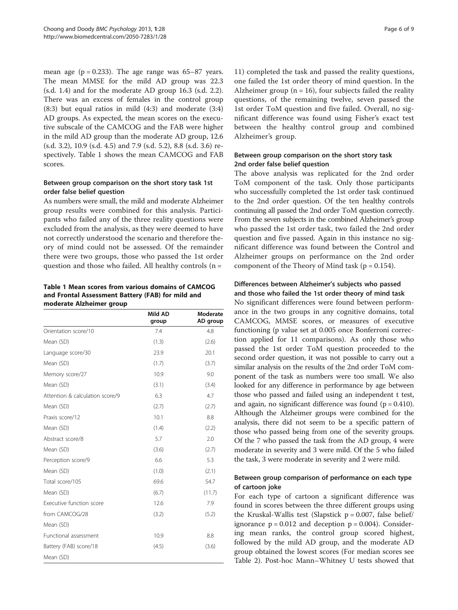mean age ( $p = 0.233$ ). The age range was 65–87 years. The mean MMSE for the mild AD group was 22.3 (s.d. 1.4) and for the moderate AD group 16.3 (s.d. 2.2). There was an excess of females in the control group (8:3) but equal ratios in mild (4:3) and moderate (3:4) AD groups. As expected, the mean scores on the executive subscale of the CAMCOG and the FAB were higher in the mild AD group than the moderate AD group, 12.6 (s.d. 3.2), 10.9 (s.d. 4.5) and 7.9 (s.d. 5.2), 8.8 (s.d. 3.6) respectively. Table 1 shows the mean CAMCOG and FAB scores.

# Between group comparison on the short story task 1st order false belief question

As numbers were small, the mild and moderate Alzheimer group results were combined for this analysis. Participants who failed any of the three reality questions were excluded from the analysis, as they were deemed to have not correctly understood the scenario and therefore theory of mind could not be assessed. Of the remainder there were two groups, those who passed the 1st order question and those who failed. All healthy controls  $(n =$ 

# Table 1 Mean scores from various domains of CAMCOG and Frontal Assessment Battery (FAB) for mild and moderate Alzheimer group

|                                 | Mild AD<br>group | Moderate<br>AD group |
|---------------------------------|------------------|----------------------|
| Orientation score/10            | 7.4              | 4.8                  |
| Mean (SD)                       | (1.3)            | (2.6)                |
| Language score/30               | 23.9             | 20.1                 |
| Mean (SD)                       | (1.7)            | (3.7)                |
| Memory score/27                 | 10.9             | 9.0                  |
| Mean (SD)                       | (3.1)            | (3.4)                |
| Attention & calculation score/9 | 6.3              | 4.7                  |
| Mean (SD)                       | (2.7)            | (2.7)                |
| Praxis score/12                 | 10.1             | 8.8                  |
| Mean (SD)                       | (1.4)            | (2.2)                |
| Abstract score/8                | 5.7              | 2.0                  |
| Mean (SD)                       | (3.6)            | (2.7)                |
| Perception score/9              | 6.6              | 5.3                  |
| Mean (SD)                       | (1.0)            | (2.1)                |
| Total score/105                 | 69.6             | 54.7                 |
| Mean (SD)                       | (6.7)            | (11.7)               |
| Executive function score        | 12.6             | 7.9                  |
| from CAMCOG/28                  | (3.2)            | (5.2)                |
| Mean (SD)                       |                  |                      |
| Functional assessment           | 10.9             | 8.8                  |
| Battery (FAB) score/18          | (4.5)            | (3.6)                |
| Mean (SD)                       |                  |                      |

11) completed the task and passed the reality questions, one failed the 1st order theory of mind question. In the Alzheimer group ( $n = 16$ ), four subjects failed the reality questions, of the remaining twelve, seven passed the 1st order ToM question and five failed. Overall, no significant difference was found using Fisher's exact test between the healthy control group and combined Alzheimer's group.

# Between group comparison on the short story task 2nd order false belief question

The above analysis was replicated for the 2nd order ToM component of the task. Only those participants who successfully completed the 1st order task continued to the 2nd order question. Of the ten healthy controls continuing all passed the 2nd order ToM question correctly. From the seven subjects in the combined Alzheimer's group who passed the 1st order task, two failed the 2nd order question and five passed. Again in this instance no significant difference was found between the Control and Alzheimer groups on performance on the 2nd order component of the Theory of Mind task ( $p = 0.154$ ).

# Differences between Alzheimer's subjects who passed and those who failed the 1st order theory of mind task

No significant differences were found between performance in the two groups in any cognitive domains, total CAMCOG, MMSE scores, or measures of executive functioning (p value set at 0.005 once Bonferroni correction applied for 11 comparisons). As only those who passed the 1st order ToM question proceeded to the second order question, it was not possible to carry out a similar analysis on the results of the 2nd order ToM component of the task as numbers were too small. We also looked for any difference in performance by age between those who passed and failed using an independent t test, and again, no significant difference was found ( $p = 0.410$ ). Although the Alzheimer groups were combined for the analysis, there did not seem to be a specific pattern of those who passed being from one of the severity groups. Of the 7 who passed the task from the AD group, 4 were moderate in severity and 3 were mild. Of the 5 who failed the task, 3 were moderate in severity and 2 were mild.

# Between group comparison of performance on each type of cartoon joke

For each type of cartoon a significant difference was found in scores between the three different groups using the Kruskal-Wallis test (Slapstick  $p = 0.007$ , false belief/ ignorance  $p = 0.012$  and deception  $p = 0.004$ ). Considering mean ranks, the control group scored highest, followed by the mild AD group, and the moderate AD group obtained the lowest scores (For median scores see Table [2\)](#page-6-0). Post-hoc Mann–Whitney U tests showed that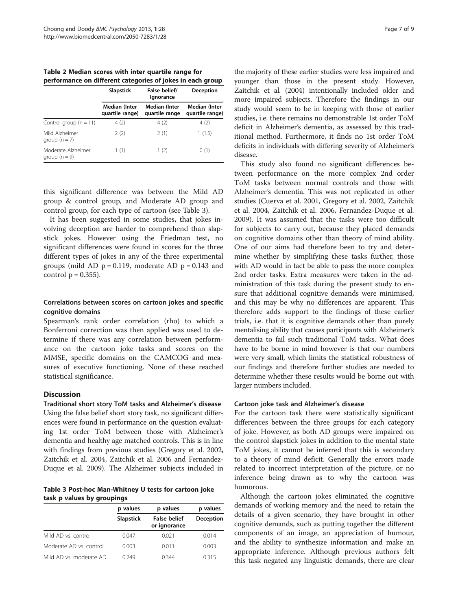<span id="page-6-0"></span>Table 2 Median scores with inter quartile range for performance on different categories of jokes in each group

|                                       | False belief/<br><b>Slapstick</b><br><b>Deception</b><br>lgnorance |                                 |                                  |  |
|---------------------------------------|--------------------------------------------------------------------|---------------------------------|----------------------------------|--|
|                                       | <b>Median (Inter</b><br>quartile range)                            | Median (Inter<br>quartile range | Median (Inter<br>quartile range) |  |
| Control group $(n = 11)$              | 4(2)                                                               | 4(2)                            | 4(2)                             |  |
| Mild Alzheimer<br>$group (n = 7)$     | 2(2)                                                               | 2(1)                            | 1(1.5)                           |  |
| Moderate Alzheimer<br>group $(n = 9)$ | 1(1)                                                               | 1 (2)                           | 0(1)                             |  |

this significant difference was between the Mild AD group & control group, and Moderate AD group and control group, for each type of cartoon (see Table 3).

It has been suggested in some studies, that jokes involving deception are harder to comprehend than slapstick jokes. However using the Friedman test, no significant differences were found in scores for the three different types of jokes in any of the three experimental groups (mild AD  $p = 0.119$ , moderate AD  $p = 0.143$  and control  $p = 0.355$ ).

# Correlations between scores on cartoon jokes and specific cognitive domains

Spearman's rank order correlation (rho) to which a Bonferroni correction was then applied was used to determine if there was any correlation between performance on the cartoon joke tasks and scores on the MMSE, specific domains on the CAMCOG and measures of executive functioning. None of these reached statistical significance.

# **Discussion**

Traditional short story ToM tasks and Alzheimer's disease Using the false belief short story task, no significant differences were found in performance on the question evaluating 1st order ToM between those with Alzheimer's dementia and healthy age matched controls. This is in line with findings from previous studies (Gregory et al. [2002](#page-8-0), Zaitchik et al. [2004,](#page-8-0) Zaitchik et al. [2006](#page-8-0) and Fernandez-Duque et al. [2009](#page-8-0)). The Alzheimer subjects included in

Table 3 Post-hoc Man-Whitney U tests for cartoon joke task p values by groupings

|                         | p values         | p values                            | p values  |
|-------------------------|------------------|-------------------------------------|-----------|
|                         | <b>Slapstick</b> | <b>False belief</b><br>or ignorance | Deception |
| Mild AD vs. control     | 0.047            | 0.021                               | 0.014     |
| Moderate AD vs. control | 0.003            | 0.011                               | 0.003     |
| Mild AD vs. moderate AD | 0.249            | 0.344                               | 0.315     |

the majority of these earlier studies were less impaired and younger than those in the present study. However, Zaitchik et al. [\(2004](#page-8-0)) intentionally included older and more impaired subjects. Therefore the findings in our study would seem to be in keeping with those of earlier studies, i.e. there remains no demonstrable 1st order ToM deficit in Alzheimer's dementia, as assessed by this traditional method. Furthermore, it finds no 1st order ToM deficits in individuals with differing severity of Alzheimer's disease.

This study also found no significant differences between performance on the more complex 2nd order ToM tasks between normal controls and those with Alzheimer's dementia. This was not replicated in other studies (Cuerva et al. [2001,](#page-8-0) Gregory et al. [2002,](#page-8-0) Zaitchik et al. [2004](#page-8-0), Zaitchik et al. [2006](#page-8-0), Fernandez-Duque et al. [2009](#page-8-0)). It was assumed that the tasks were too difficult for subjects to carry out, because they placed demands on cognitive domains other than theory of mind ability. One of our aims had therefore been to try and determine whether by simplifying these tasks further, those with AD would in fact be able to pass the more complex 2nd order tasks. Extra measures were taken in the administration of this task during the present study to ensure that additional cognitive demands were minimised, and this may be why no differences are apparent. This therefore adds support to the findings of these earlier trials, i.e. that it is cognitive demands other than purely mentalising ability that causes participants with Alzheimer's dementia to fail such traditional ToM tasks. What does have to be borne in mind however is that our numbers were very small, which limits the statistical robustness of our findings and therefore further studies are needed to determine whether these results would be borne out with larger numbers included.

# Cartoon joke task and Alzheimer's disease

For the cartoon task there were statistically significant differences between the three groups for each category of joke. However, as both AD groups were impaired on the control slapstick jokes in addition to the mental state ToM jokes, it cannot be inferred that this is secondary to a theory of mind deficit. Generally the errors made related to incorrect interpretation of the picture, or no inference being drawn as to why the cartoon was humorous.

Although the cartoon jokes eliminated the cognitive demands of working memory and the need to retain the details of a given scenario, they have brought in other cognitive demands, such as putting together the different components of an image, an appreciation of humour, and the ability to synthesize information and make an appropriate inference. Although previous authors felt this task negated any linguistic demands, there are clear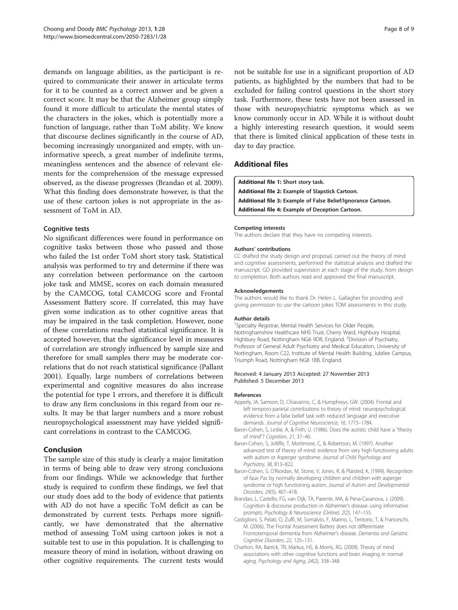<span id="page-7-0"></span>demands on language abilities, as the participant is required to communicate their answer in articulate terms for it to be counted as a correct answer and be given a correct score. It may be that the Alzheimer group simply found it more difficult to articulate the mental states of the characters in the jokes, which is potentially more a function of language, rather than ToM ability. We know that discourse declines significantly in the course of AD, becoming increasingly unorganized and empty, with uninformative speech, a great number of indefinite terms, meaningless sentences and the absence of relevant elements for the comprehension of the message expressed observed, as the disease progresses (Brandao et al. 2009). What this finding does demonstrate however, is that the use of these cartoon jokes is not appropriate in the assessment of ToM in AD.

# Cognitive tests

No significant differences were found in performance on cognitive tasks between those who passed and those who failed the 1st order ToM short story task. Statistical analysis was performed to try and determine if there was any correlation between performance on the cartoon joke task and MMSE, scores on each domain measured by the CAMCOG, total CAMCOG score and Frontal Assessment Battery score. If correlated, this may have given some indication as to other cognitive areas that may be impaired in the task completion. However, none of these correlations reached statistical significance. It is accepted however, that the significance level in measures of correlation are strongly influenced by sample size and therefore for small samples there may be moderate correlations that do not reach statistical significance (Pallant [2001](#page-8-0)). Equally, large numbers of correlations between experimental and cognitive measures do also increase the potential for type 1 errors, and therefore it is difficult to draw any firm conclusions in this regard from our results. It may be that larger numbers and a more robust neuropsychological assessment may have yielded significant correlations in contrast to the CAMCOG.

# Conclusion

The sample size of this study is clearly a major limitation in terms of being able to draw very strong conclusions from our findings. While we acknowledge that further study is required to confirm these findings, we feel that our study does add to the body of evidence that patients with AD do not have a specific ToM deficit as can be demonstrated by current tests. Perhaps more significantly, we have demonstrated that the alternative method of assessing ToM using cartoon jokes is not a suitable test to use in this population. It is challenging to measure theory of mind in isolation, without drawing on other cognitive requirements. The current tests would

not be suitable for use in a significant proportion of AD patients, as highlighted by the numbers that had to be excluded for failing control questions in the short story task. Furthermore, these tests have not been assessed in those with neuropsychiatric symptoms which as we know commonly occur in AD. While it is without doubt a highly interesting research question, it would seem that there is limited clinical application of these tests in day to day practice.

# Additional files

[Additional file 1:](http://www.biomedcentral.com/content/supplementary/2050-7283-1-28-S1.doc) Short story task. [Additional file 2:](http://www.biomedcentral.com/content/supplementary/2050-7283-1-28-S2.doc) Example of Slapstick Cartoon. [Additional file 3:](http://www.biomedcentral.com/content/supplementary/2050-7283-1-28-S3.doc) Example of False Belief/Ignorance Cartoon. [Additional file 4:](http://www.biomedcentral.com/content/supplementary/2050-7283-1-28-S4.doc) Example of Deception Cartoon.

### Competing interests

The authors declare that they have no competing interests.

### Authors' contributions

CC drafted the study design and proposal, carried out the theory of mind and cognitive assessments, performed the statistical analysis and drafted the manuscript. GD provided supervision at each stage of the study, from design to completion. Both authors read and approved the final manuscript.

### Acknowledgements

The authors would like to thank Dr. Helen L. Gallagher for providing and giving permission to use the cartoon jokes TOM assessments in this study.

### Author details

<sup>1</sup>Specialty Registrar, Mental Health Services for Older People Nottinghamshire Healthcare NHS Trust, Cherry Ward, Highbury Hospital, Highbury Road, Nottingham NG6 9DR, England. <sup>2</sup> Division of Psychiatry Professor of General Adult Psychiatry and Medical Education, University of Nottingham, Room C22, Institute of Mental Health Building, Jubilee Campus, Triumph Road, Nottingham NG8 1BB, England.

### Received: 4 January 2013 Accepted: 27 November 2013 Published: 5 December 2013

#### References

- Apperly, IA, Samson, D, Chiavarino, C, & Humphreys, GW. (2004). Frontal and left temporo-parietal contributions to theory of mind: neuropsychological evidence from a false belief task with reduced language and executive demands. Journal of Cognitive Neuroscience, 16, 1773–1784.
- Baron-Cohen, S, Leslie, A, & Frith, U. (1986). Does the autistic child have a "theory of mind"? Cognition, 21, 37–46.
- Baron-Cohen, S, Jolliffe, T, Mortimore, C, & Robertson, M. (1997). Another advanced test of theory of mind: evidence from very high functioning adults with autism or Asperger syndrome. Journal of Child Psychology and Psychiatry, 38, 813–822.
- Baron-Cohen, S, O'Riordan, M, Stone, V, Jones, R, & Plaisted, K. (1999). Recognition of faux Pas by normally developing children and children with asperger syndrome or high functioning autism. Journal of Autism and Developmental Disorders, 29(5), 407–418.
- Brandao, L, Castello, FG, van Dijk, TA, Parente, MA, & Pena-Casanova, J. (2009). Cognition & discourse production in Alzheimer's disease: using informative prompts. Psychology & Neuroscience (Online), 2(2), 147–155.
- Castiglioni, S, Pelati, O, Zuffi, M, Somalvio, F, Marino, L, Tentorio, T, & Franceschi, M. (2006). The Frontal Assessment Battery does not differentiate Frontotemporal dementia from Alzheimer's disease. Dementia and Geriatric Cognitive Disorders, 22, 125–131.
- Charlton, RA, Barrick, TR, Markus, HS, & Morris, RG. (2009). Theory of mind associations with other cognitive functions and brain imaging in normal aging. Psychology and Aging, 24(2), 338–348.